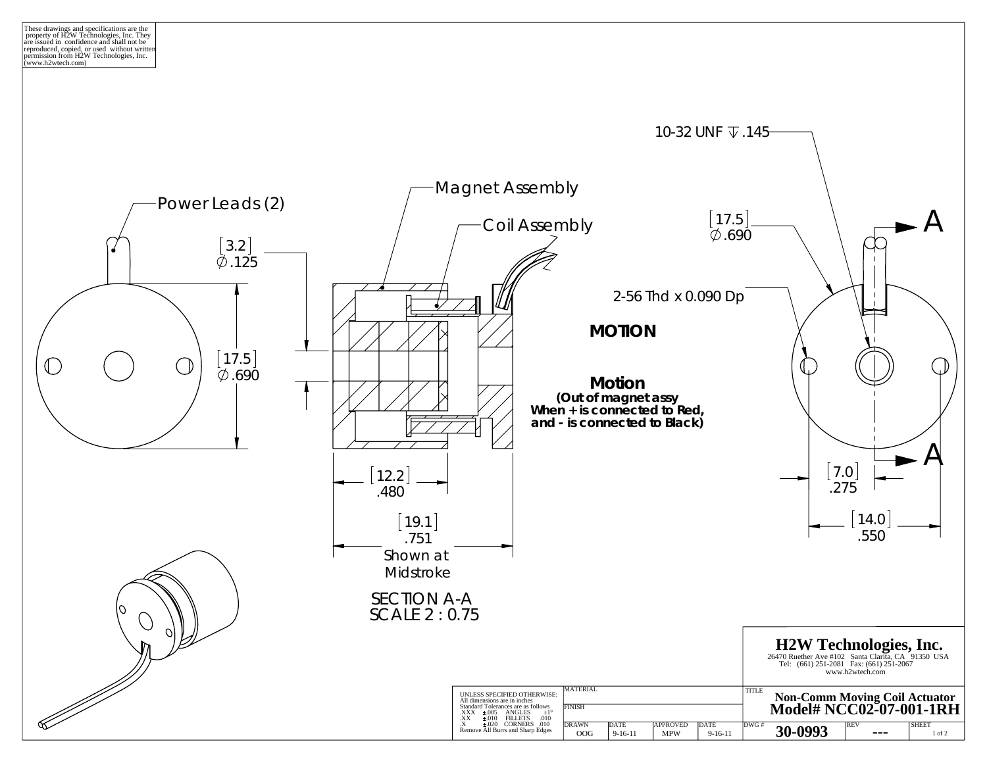